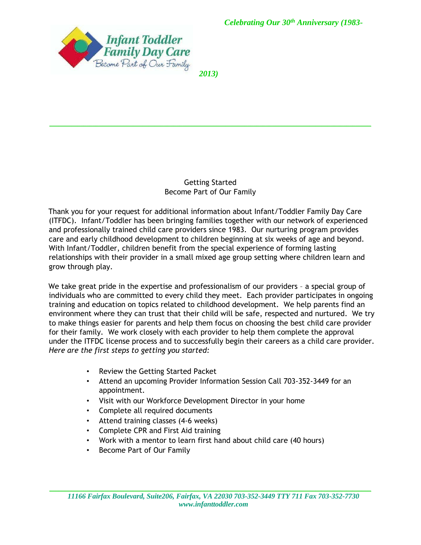

*2013)*

 $\mathcal{L}_\mathcal{L} = \mathcal{L}_\mathcal{L} = \mathcal{L}_\mathcal{L} = \mathcal{L}_\mathcal{L} = \mathcal{L}_\mathcal{L} = \mathcal{L}_\mathcal{L} = \mathcal{L}_\mathcal{L} = \mathcal{L}_\mathcal{L} = \mathcal{L}_\mathcal{L} = \mathcal{L}_\mathcal{L} = \mathcal{L}_\mathcal{L} = \mathcal{L}_\mathcal{L} = \mathcal{L}_\mathcal{L} = \mathcal{L}_\mathcal{L} = \mathcal{L}_\mathcal{L} = \mathcal{L}_\mathcal{L} = \mathcal{L}_\mathcal{L}$ 

#### Getting Started Become Part of Our Family

Thank you for your request for additional information about Infant/Toddler Family Day Care (ITFDC). Infant/Toddler has been bringing families together with our network of experienced and professionally trained child care providers since 1983. Our nurturing program provides care and early childhood development to children beginning at six weeks of age and beyond. With Infant/Toddler, children benefit from the special experience of forming lasting relationships with their provider in a small mixed age group setting where children learn and grow through play.

We take great pride in the expertise and professionalism of our providers – a special group of individuals who are committed to every child they meet. Each provider participates in ongoing training and education on topics related to childhood development. We help parents find an environment where they can trust that their child will be safe, respected and nurtured. We try to make things easier for parents and help them focus on choosing the best child care provider for their family. We work closely with each provider to help them complete the approval under the ITFDC license process and to successfully begin their careers as a child care provider. *Here are the first steps to getting you started:*

- Review the Getting Started Packet
- Attend an upcoming Provider Information Session Call 703-352-3449 for an appointment.
- Visit with our Workforce Development Director in your home
- Complete all required documents
- Attend training classes (4-6 weeks)
- Complete CPR and First Aid training
- Work with a mentor to learn first hand about child care (40 hours)
- Become Part of Our Family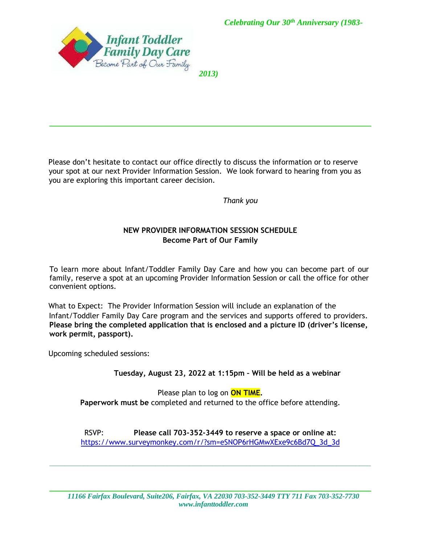

*2013)*

 $\mathcal{L}_\mathcal{L} = \mathcal{L}_\mathcal{L} = \mathcal{L}_\mathcal{L} = \mathcal{L}_\mathcal{L} = \mathcal{L}_\mathcal{L} = \mathcal{L}_\mathcal{L} = \mathcal{L}_\mathcal{L} = \mathcal{L}_\mathcal{L} = \mathcal{L}_\mathcal{L} = \mathcal{L}_\mathcal{L} = \mathcal{L}_\mathcal{L} = \mathcal{L}_\mathcal{L} = \mathcal{L}_\mathcal{L} = \mathcal{L}_\mathcal{L} = \mathcal{L}_\mathcal{L} = \mathcal{L}_\mathcal{L} = \mathcal{L}_\mathcal{L}$ 

Please don't hesitate to contact our office directly to discuss the information or to reserve your spot at our next Provider Information Session. We look forward to hearing from you as you are exploring this important career decision.

*Thank you* 

### **NEW PROVIDER INFORMATION SESSION SCHEDULE Become Part of Our Family**

To learn more about Infant/Toddler Family Day Care and how you can become part of our family, reserve a spot at an upcoming Provider Information Session or call the office for other convenient options.

What to Expect: The Provider Information Session will include an explanation of the Infant/Toddler Family Day Care program and the services and supports offered to providers. **Please bring the completed application that is enclosed and a picture ID (driver's license, work permit, passport).** 

Upcoming scheduled sessions:

**Tuesday, August 23, 2022 at 1:15pm – Will be held as a webinar** 

Please plan to log on **ON TIME. Paperwork must be** completed and returned to the office before attending.

RSVP: **Please call 703-352-3449 to reserve a space or online at:**  [https://www.surveymonkey.com/r/?sm=eSNOP6rHGMwXExe9c6Bd7Q\\_3d\\_3d](https://www.surveymonkey.com/r/?sm=eSNOP6rHGMwXExe9c6Bd7Q_3d_3d)

\_\_\_\_\_\_\_\_\_\_\_\_\_\_\_\_\_\_\_\_\_\_\_\_\_\_\_\_\_\_\_\_\_\_\_\_\_\_\_\_\_\_\_\_\_\_\_\_\_\_\_\_\_\_\_\_\_\_\_\_\_\_\_\_\_\_\_\_\_\_\_\_\_\_\_\_\_\_\_\_\_\_\_\_\_

\_\_\_\_\_\_\_\_\_\_\_\_\_\_\_\_\_\_\_\_\_\_\_\_\_\_\_\_\_\_\_\_\_\_\_\_\_\_\_\_\_\_\_\_\_\_\_\_\_\_\_\_\_\_\_\_\_\_\_\_\_\_\_\_\_\_\_\_\_\_\_\_\_\_\_\_\_\_\_\_\_\_\_\_\_\_\_\_\_\_\_\_\_\_\_\_\_\_\_\_\_\_\_\_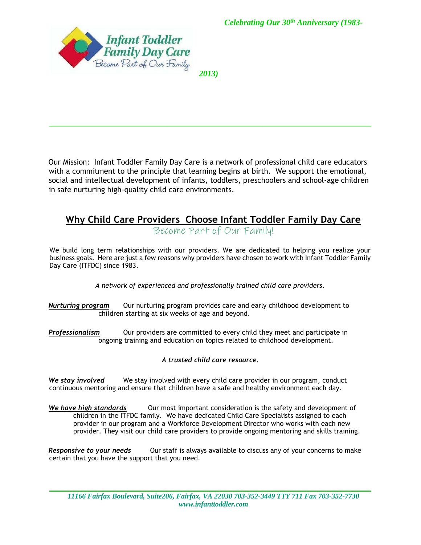

*2013)*

 $\mathcal{L}_\mathcal{L} = \mathcal{L}_\mathcal{L} = \mathcal{L}_\mathcal{L} = \mathcal{L}_\mathcal{L} = \mathcal{L}_\mathcal{L} = \mathcal{L}_\mathcal{L} = \mathcal{L}_\mathcal{L} = \mathcal{L}_\mathcal{L} = \mathcal{L}_\mathcal{L} = \mathcal{L}_\mathcal{L} = \mathcal{L}_\mathcal{L} = \mathcal{L}_\mathcal{L} = \mathcal{L}_\mathcal{L} = \mathcal{L}_\mathcal{L} = \mathcal{L}_\mathcal{L} = \mathcal{L}_\mathcal{L} = \mathcal{L}_\mathcal{L}$ 

Our Mission: Infant Toddler Family Day Care is a network of professional child care educators with a commitment to the principle that learning begins at birth. We support the emotional, social and intellectual development of infants, toddlers, preschoolers and school-age children in safe nurturing high-quality child care environments.

# **Why Child Care Providers Choose Infant Toddler Family Day Care**

Become Part of Our Family!

We build long term relationships with our providers. We are dedicated to helping you realize your business goals. Here are just a few reasons why providers have chosen to work with Infant Toddler Family Day Care (ITFDC) since 1983.

*A network of experienced and professionally trained child care providers.* 

*Nurturing program* Our nurturing program provides care and early childhood development to children starting at six weeks of age and beyond.

*Professionalism* Our providers are committed to every child they meet and participate in ongoing training and education on topics related to childhood development.

#### *A trusted child care resource.*

*We stay involved* We stay involved with every child care provider in our program, conduct continuous mentoring and ensure that children have a safe and healthy environment each day.

*We have high standards* Our most important consideration is the safety and development of children in the ITFDC family. We have dedicated Child Care Specialists assigned to each provider in our program and a Workforce Development Director who works with each new provider. They visit our child care providers to provide ongoing mentoring and skills training.

*Responsive to your needs* Our staff is always available to discuss any of your concerns to make certain that you have the support that you need.

\_\_\_\_\_\_\_\_\_\_\_\_\_\_\_\_\_\_\_\_\_\_\_\_\_\_\_\_\_\_\_\_\_\_\_\_\_\_\_\_\_\_\_\_\_\_\_\_\_\_\_\_\_\_\_\_\_\_\_\_\_\_\_\_\_\_\_\_\_\_\_\_\_\_\_\_\_\_\_\_\_\_\_\_\_\_\_\_\_\_\_\_\_\_\_\_\_\_\_\_\_\_\_\_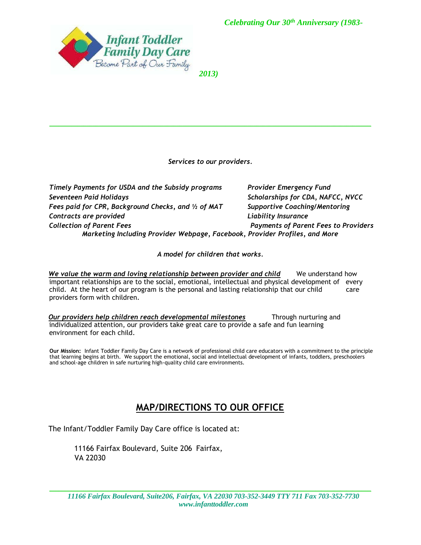

*2013)*

*Services to our providers.* 

 $\mathcal{L}_\mathcal{L} = \mathcal{L}_\mathcal{L} = \mathcal{L}_\mathcal{L} = \mathcal{L}_\mathcal{L} = \mathcal{L}_\mathcal{L} = \mathcal{L}_\mathcal{L} = \mathcal{L}_\mathcal{L} = \mathcal{L}_\mathcal{L} = \mathcal{L}_\mathcal{L} = \mathcal{L}_\mathcal{L} = \mathcal{L}_\mathcal{L} = \mathcal{L}_\mathcal{L} = \mathcal{L}_\mathcal{L} = \mathcal{L}_\mathcal{L} = \mathcal{L}_\mathcal{L} = \mathcal{L}_\mathcal{L} = \mathcal{L}_\mathcal{L}$ 

*Timely Payments for USDA and the Subsidy programs Provider Emergency Fund Seventeen Paid Holidays Scholarships for CDA, NAFCC, NVCC Fees paid for CPR, Background Checks, and ½ of MAT Supportive Coaching/Mentoring Contracts are provided Liability Insurance Collection of Parent Fees Payments of Parent Fees to Providers Marketing Including Provider Webpage, Facebook, Provider Profiles, and More* 

*A model for children that works.* 

We value the warm and loving relationship between provider and child We understand how important relationships are to the social, emotional, intellectual and physical development of every child. At the heart of our program is the personal and lasting relationship that our child care providers form with children.

*Our providers help children reach developmental milestones* Through nurturing and individualized attention, our providers take great care to provide a safe and fun learning environment for each child.

**Our Mission:** Infant Toddler Family Day Care is a network of professional child care educators with a commitment to the principle that learning begins at birth. We support the emotional, social and intellectual development of infants, toddlers, preschoolers and school-age children in safe nurturing high-quality child care environments.

# **MAP/DIRECTIONS TO OUR OFFICE**

The Infant/Toddler Family Day Care office is located at:

11166 Fairfax Boulevard, Suite 206 Fairfax, VA 22030